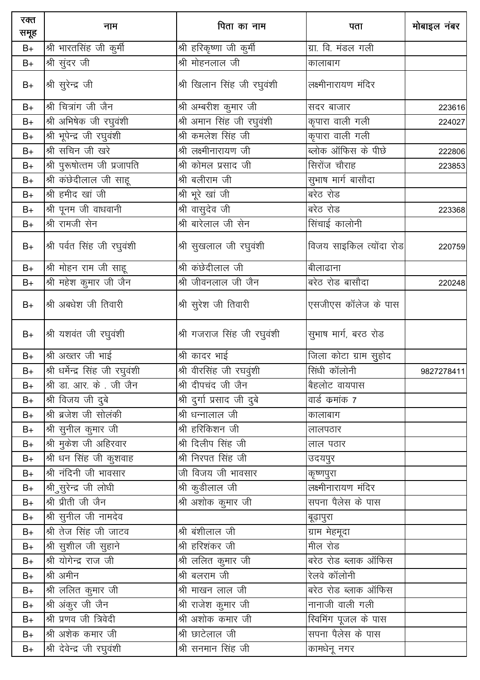| रक्त<br>समूह | नाम                             | पिता का नाम                                   | पता                     | मोबाइल नंबर |
|--------------|---------------------------------|-----------------------------------------------|-------------------------|-------------|
| $B+$         | श्री भारतसिंह जी कुर्मी         | श्री हरिकृष्णा जी कुर्मी                      | ग्रा. वि. मंडल गली      |             |
| $B+$         | श्री सुंदर जी                   | श्री मोहनलाल जी                               | कालाबाग                 |             |
| $B+$         | श्री सुरेन्द्र जी               | श्री खिलान सिंह जी रघुवंशी                    | लक्ष्मीनारायण मंदिर     |             |
| $B+$         | श्री चित्रांग जी जैन            | श्री अम्बरीश कुमार जी                         | सदर बाजार               | 223616      |
| $B+$         | श्री अभिषेक जी रघुवंशी          | $\overline{\mathcal{B}}$ अमान सिंह जी रघुवंशी | कृपारा वाली गली         | 224027      |
| $B+$         | श्री भूपेन्द्र जी रघुवंशी       | श्री कमलेश सिंह जी                            | कृपारा वाली गली         |             |
| $B+$         | श्री सचिन जी खरे                | श्री लक्ष्मीनारायण जी                         | ब्लोक ऑफिस के पीछे      | 222806      |
| $B+$         | श्री पुरूषोत्तम जी प्रजापति     | श्री कोमल प्रसाद जी                           | सिरोंज चौराह            | 223853      |
| $B+$         | श्री कंछेदीलाल जी साहू          | श्री बलीराम जी                                | सुभाष मार्ग बासौदा      |             |
| $B+$         | श्री हमीद खां जी                | श्री भूरे खां जी                              | बरेठ रोड                |             |
| $B+$         | श्री पूनम जी वाधवानी            | श्री वासुदेव जी                               | बरेठ रोड                | 223368      |
| $B+$         | श्री रामजी सेन                  | श्री बारेलाल जी सेन                           | सिंचाई कालोनी           |             |
| $B+$         | श्री पर्वत सिंह जी रघुवंशी      | श्री सुखलाल जी रघुवंशी                        | विजय साइकिल त्योंदा रोड | 220759      |
| $B+$         | श्री मोहन राम जी साहू           | श्री कंछेदीलाल जी                             | बीलाढाना                |             |
| $B+$         | श्री महेश कुमार जी जैन          | श्री जीवनलाल जी जैन                           | बरेठ रोड बासौदा         | 220248      |
| $B+$         | श्री अबधेश जी तिवारी            | श्री सुरेश जी तिवारी                          | एसजीएस कॉलेज के पास     |             |
| $B+$         | श्री यशवंत जी रघुवंशी           | श्री गजराज सिंह जी रघुवंशी                    | सुभाष मार्ग, बरठ रोड    |             |
| $B+$         | श्री अख्तर जी भाई               | श्री कादर भाई                                 | जिला कोटा ग्राम सुहोद   |             |
| $B+$         | श्री धर्मेन्द्र सिंह जी रघुवंशी | श्री वीरसिंह जी रघवुंशी                       | सिंधी कॉलोनी            | 9827278411  |
| $B+$         | श्री डा. आर. के. जी जैन         | श्री दीपचंद जी जैन                            | बैहलोट वायपास           |             |
| $B+$         | श्री विजय जी दुबे               | श्री दुर्गा प्रसाद जी दुबे                    | वार्ड कमांक 7           |             |
| $B+$         | श्री ब्रजेश जी सोलंकी           | श्री धन्नालाल जी                              | कालाबाग                 |             |
| $B+$         | श्री सुनील कुमार जी             | श्री हरिकिशन जी                               | लालपठार                 |             |
| $B+$         | श्री मुकेश जी अहिरवार           | श्री दिलीप सिंह जी                            | लाल पठार                |             |
| $B+$         | श्री धन सिंह जी कुशवाह          | श्री निरपत सिंह जी                            | उदयपुर                  |             |
| $B+$         | श्री नंदिनी जी भावसार           | जी विजय जी भावसार                             | कॄष्णपुरा               |             |
| $B+$         | श्री सुरेन्द्र जी लोधी          | श्री कुडीलाल जी                               | लक्ष्मीनारायण मंदिर     |             |
| $B+$         | श्री प्रीती जी जैन              | श्री अशोक कुमार जी                            | सपना पैलेस के पास       |             |
| $B+$         | श्री सुनील जी नामदेव            |                                               | बूढ़ापुरा               |             |
| $B+$         | श्री तेज सिंह जी जाटव           | श्री बंशीलाल जी                               | ग्राम मेहमूदा           |             |
| $B+$         | श्री सुशील जी सुहाने            | श्री हरिशंकर जी                               | मील रोड                 |             |
| $B+$         | श्री योगेन्द्र राज जी           | श्री ललित कुमार जी                            | बरेठ रोड ब्लाक ऑफिस     |             |
| $B+$         | श्री अमीन                       | श्री बलराम जी                                 | रेलवे कॉलोनी            |             |
| $B+$         | श्री ललित कुमार जी              | श्री माखन लाल जी                              | बरेठ रोड ब्लाक ऑफिस     |             |
| $B+$         | श्री अंकुर जी जैन               | श्री राजेश कुमार जी                           | नानाजी वाली गली         |             |
| $B+$         | श्री प्रणव जी त्रिवेदी          | श्री अशोक कमार जी                             | स्विमिंग पूजल के पास    |             |
| $B+$         | श्री अशेक कमार जी               | श्री छाटेलाल जी                               | सपना पैलेस के पास       |             |
| $B+$         | श्री देवेन्द्र जी रघुवंशी       | श्री सनमान सिंह जी                            | कामधेनू नगर             |             |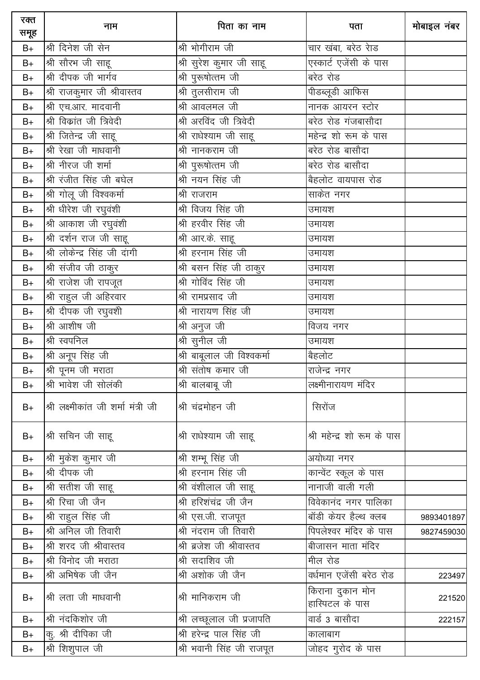| रक्त<br>समूह  | नाम                                 | पिता का नाम                | पता                                 | मोबाइल नंबर |
|---------------|-------------------------------------|----------------------------|-------------------------------------|-------------|
| $B+$          | श्री दिनेश जी सेन                   | श्री भोगीराम जी            | चार खंबा, बरेठ रेाड                 |             |
| $B+$          | श्री सौरभ जी साहू                   | श्री सुरेश कुमार जी साहू   | एस्कार्ट एजेंसी के पास              |             |
| $B+$          | श्री दीपक जी भार्गव                 | श्री पुरूषोत्तम जी         | बरेठ रोड                            |             |
| $B+$          | श्री राजकुमार जी श्रीवास्तव         | श्री तुलसीराम जी           | पीडब्लूडी आफिस                      |             |
| $B+$          | श्री एच.आर. मादवानी                 | श्री आवलमल जी              | नानक आयरन स्टोर                     |             |
| $B+$          | श्री विकांत जी त्रिवेदी             | श्री अरविंद जी त्रिवेदी    | बरेठ रोड गंजबासौदा                  |             |
| $B+$          | श्री जितेन्द्र जी साहू              | श्री राधेश्याम जी साहू     | महेन्द्र शो रूम के पास              |             |
| $B+$          | श्री रेखा जी माधवानी                | श्री नानकराम जी            | <u>बि</u> रेठ रोड बासौदा            |             |
| $B+$          | श्री नीरज जी शर्मा                  | श्री पुरूषोत्तम जी         | बरेठ रोड बासौदा                     |             |
| $B+$          | श्री रंजीत सिंह जी बघेल             | श्री नयन सिंह जी           | बैहलोट वायपास रोड                   |             |
| $B+$          | श्री गोलू जी विश्वकर्मा             | श्री राजराम                | साकेत नगर                           |             |
| $B+$          | श्री धीरेश जी रघुवंशी               | श्री विजय सिंह जी          | उमायश                               |             |
| $B+$          | श्री आकाश जी रघुवंशी                | श्री हरवीर सिंह जी         | उमायश                               |             |
| $\mathsf{B}+$ | श्री दर्शन राज जी साहू              | श्री आर.के. साहू           | उमायश                               |             |
| $B+$          | श्री लोकेन्द्र सिंह जी दांगी        | श्री हरनाम सिंह जी         | उमायश                               |             |
| $\mathsf{B}+$ | <u>श्री</u> संजीव जी ठाकुर          | श्री बसन सिंह जी ठाकुर     | उमायश                               |             |
| $\mathsf{B}+$ | श्री राजेश जी रापजूत                | श्री गोविंद सिंह जी        | उमायश                               |             |
| $\mathsf{B}+$ | श्री राहुल जी अहिरवार               | श्री रामप्रसाद जी          | उमायश                               |             |
| $B+$          | श्री दीपक जी रघुवशी                 | श्री नारायण सिंह जी        | उमायश                               |             |
| $B+$          | श्री आशीष जी                        | श्री अनुज जी               | विजय नगर                            |             |
| $B+$          | श्री स्वपनिल                        | श्री सुनील जी              | उमायश                               |             |
| $B+$          | श्री अनूप सिंह जी                   | श्री बाबूलाल जी विश्वकर्मा | बैहलोट                              |             |
| $B+$          | श्री पूनम जी मराठा                  | श्री संतोष कमार जी         | राजेन्द्र नगर                       |             |
| $B+$          | श्री भावेश जी सोलंकी                | श्री बालबाबू जी            | लक्ष्मीनारायण मंदिर                 |             |
| $B+$          | श्री लक्ष्मीकांत जी शर्मा मंत्री जी | श्री चंद्रमोहन जी          | सिरोंज                              |             |
| $B+$          | श्री सचिन जी साहू                   | श्री राधेश्याम जी साहू     | श्री महेन्द्र शो रूम के पास         |             |
| $B+$          | श्री मुकेश कुमार जी                 | श्री शम्भू सिंह जी         | अयोध्या नगर                         |             |
| $B+$          | श्री दीपक जी                        | श्री हरनाम सिंह जी         | कान्वेंट स्कूल के पास               |             |
| $B+$          | श्री सतीश जी साहू                   | श्री वंशीलाल जी साहू       | नानाजी वाली गली                     |             |
| $B+$          | श्री रिचा जी जैन                    | श्री हरिशंचंद्र जी जैन     | विवेकानंद नगर पालिका                |             |
| $B+$          | श्री राहुल सिंह जी                  | श्री एस.जी. राजपूत         | बॉडी केयर हैल्थ क्लब                | 9893401897  |
| $B+$          | श्री अनिल जी तिवारी                 | श्री नंदराम जी तिवारी      | <u>पिपलेश्वर मंदिर के पास</u>       | 9827459030  |
| $B+$          | श्री शरद जी श्रीवास्तव              | श्री ब्रजेश जी श्रीवास्तव  | बीजासन माता मंदिर                   |             |
| $B+$          | श्री विनोद जी मराठा                 | श्री सदाशिव जी             | मील रोड                             |             |
| $B+$          | श्री अभिषेक जी जैन                  | श्री अशोक जी जैन           | वर्धमान एजेंसी बरेठ रोड             | 223497      |
| $B+$          | श्री लता जी माधवानी                 | श्री मानिकराम जी           | किराना दुकान मोन<br>हास्पिटल के पास | 221520      |
| $B+$          | श्री नंदकिशोर जी                    | श्री लच्छूलाल जी प्रजापति  | वार्ड 3 बासौदा                      | 222157      |
| $B+$          | कु. श्री दीपिका जी                  | श्री हरेन्द्र पाल सिंह जी  | कालाबाग                             |             |
| $B+$          | श्री शिशुपाल जी                     | श्री भवानी सिंह जी राजपूत  | जोहद गुरोद के पास                   |             |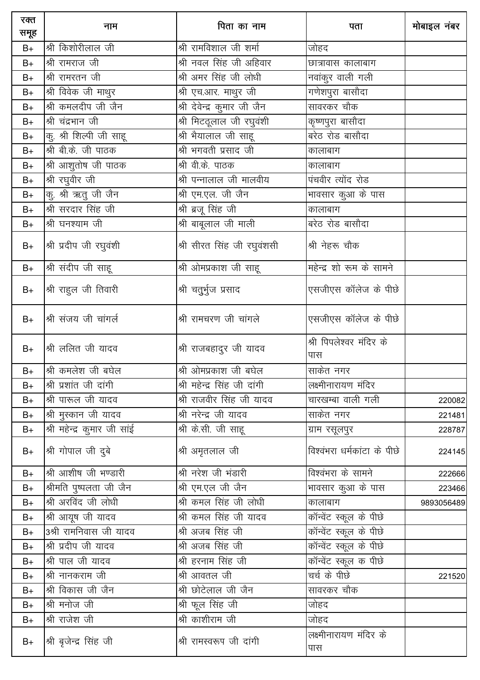| रक्त<br>समूह | नाम                        | पिता का नाम                 | पता                            | मोबाइल नंबर |
|--------------|----------------------------|-----------------------------|--------------------------------|-------------|
| $B+$         | श्री किशोरीलाल जी          | श्री रामविशाल जी शर्मा      | जोहद                           |             |
| $B+$         | श्री रामराज जी             | श्री नवल सिंह जी अहिवार     | छात्रावास कालाबाग              |             |
| $B+$         | श्री रामरतन जी             | श्री अमर सिंह जी लोधी       | नवांकुर वाली गली               |             |
| $B+$         | श्री विवेक जी माथुर        | श्री एच.आर. माथुर जी        | गणेशपुरा बासौदा                |             |
| $B+$         | श्री कमलदीप जी जैन         | श्री देवेन्द्र कुमार जी जैन | सावरकर चौक                     |             |
| $B+$         | श्री चंद्रभान जी           | श्री मिटठूलाल जी रघुवंशी    | कृष्णपुरा बासौदा               |             |
| $B+$         | कु. श्री शिल्पी जी साहू    | श्री भैयालाल जी साहू        | बरेठ रोड बासौदा                |             |
| $B+$         | श्री बी.के. जी पाठक        | श्री भगवती प्रसाद जी        | कालाबाग                        |             |
| $B+$         | श्री आशुतोष जी पाठक        | श्री वी.के. पाठक            | कालाबाग                        |             |
| $B+$         | श्री रघुवीर जी             | श्री पन्नालाल जी मालवीय     | पंचवीर त्योंद रोड              |             |
| $B+$         | कु. श्री ऋतु जी जैन        | श्री एम.एल. जी जैन          | भावसार कुआ के पास              |             |
| $B+$         | श्री सरदार सिंह जी         | श्री ब्रजू सिंह जी          | कालाबाग                        |             |
| $B+$         | श्री घनश्याम जी            | श्री बाबूलाल जी माली        | बरेठ रोड बासौदा                |             |
| $B+$         | श्री प्रदीप जी रघुवंशी     | श्री सीरत सिंह जी रघुवंशसी  | श्री नेहरू चौक                 |             |
| $B+$         | श्री संदीप जी साहू         | श्री ओमप्रकाश जी साहू       | महेन्द्र शो रूम के सामने       |             |
| $B+$         | श्री राहुल जी तिवारी       | श्री चतुर्भुज प्रसाद        | एसजीएस कॉलेज के पीछे           |             |
| $B+$         | श्री संजय जी चांगर्ल       | श्री रामचरण जी चांगले       | एसजीएस कॉलेज के पीछे           |             |
| $B+$         | श्री ललित जी यादव          | श्री राजबहादुर जी यादव      | श्री पिपलेश्वर मंदिर के<br>पास |             |
| $B+$         | श्री कमलेश जी बघेल         | श्री ओमप्रकाश जी बघेल       | साकेत नगर                      |             |
| $B+$         | श्री प्रशांत जी दांगी      | श्री महेन्द्र सिंह जी दांगी | लक्ष्मीनारायण मंदिर            |             |
| $B+$         | श्री पारूल जी यादव         | श्री राजवीर सिंह जी यादव    | चारखम्बा वाली गली              | 220082      |
| $B+$         | श्री मुस्कान जी यादव       | श्री नरेन्द्र जी यादव       | साकेत नगर                      | 221481      |
| $B+$         | श्री महेन्द्र कुमार जी साई | श्री के.सी. जी साहू         | ग्राम रसूलपुर                  | 228787      |
| $B+$         | श्री गोपाल जी दुबे         | श्री अमृतलाल जी             | विश्वंभरा धर्मकांटा के पीछे    | 224145      |
| $B+$         | श्री आशीष जी भण्डारी       | श्री नरेश जी भंडारी         | विश्वंभरा के सामने             | 222666      |
| $B+$         | श्रीमति पुष्पलता जी जैन    | श्री एम.एल जी जैन           | भावसार कुआ के पास              | 223466      |
| $B+$         | श्री अरविंद जी लोधी        | श्री कमल सिंह जी लोधी       | कालाबाग                        | 9893056489  |
| $B+$         | श्री आयूष जी यादव          | श्री कमल सिंह जी यादव       | कॉन्वेंट स्कूल के पीछे         |             |
| $B+$         | 3श्री रामनिवास जी यादव     | श्री अजब सिंह जी            | कॉन्वेंट स्कूल के पीछे         |             |
| $B+$         | श्री प्रदीप जी यादव        | श्री अजब सिंह जी            | कॉन्वेंट स्कूल के पीछे         |             |
| $B+$         | श्री पाल जी यादव           | श्री हरनाम सिंह जी          | कॉन्वेंट स्कूल क पीछे          |             |
| $B+$         | श्री नानकराम जी            | श्री आवतल जी                | चर्च के पीछे                   | 221520      |
| $B+$         | श्री विकास जी जैन          | श्री छोटेलाल जी जैन         | सावरकर चौक                     |             |
| $B+$         | श्री मनोज जी               | श्री फूल सिंह जी            | जोहद                           |             |
| $B+$         | श्री राजेश जी              | श्री काशीराम जी             | जोहद                           |             |
| $B+$         | श्री बृजेन्द्र सिंह जी     | श्री रामस्वरूप जी दांगी     | लक्ष्मीनारायण मंदिर के<br>पास  |             |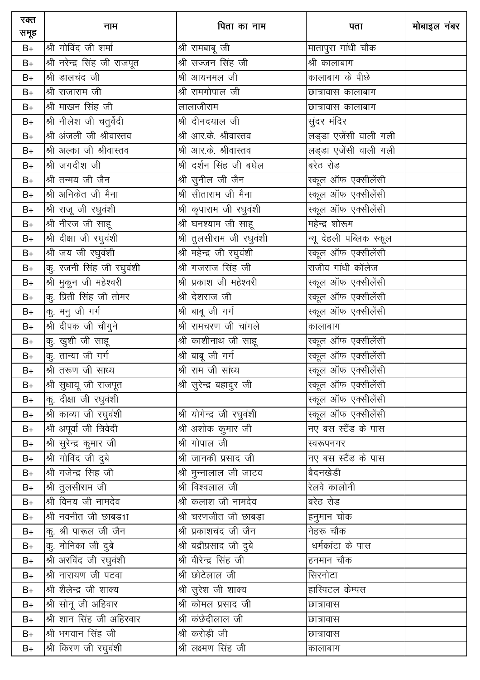| रक्त<br>समूह | नाम                           | पिता का नाम                 | पता                                         | मोबाइल नंबर |
|--------------|-------------------------------|-----------------------------|---------------------------------------------|-------------|
| $B+$         | श्री गोविंद जी शर्मा          | श्री रामबाबू जी             | मातापुरा गांधी चौक $\overline{\phantom{a}}$ |             |
| $B+$         | श्री नरेन्द्र सिंह जी राजपूत  | श्री सज्जन सिंह जी          | श्री कालाबाग                                |             |
| $B+$         | श्री डालचंद जी                | श्री आयनमल जी               | कालाबाग के पीछे                             |             |
| $B+$         | श्री राजाराम जी               | श्री रामगोपाल जी            | छात्रावास कालाबाग                           |             |
| $B+$         | श्री माखन सिंह जी             | लालाजीराम                   | छात्रावास कालाबाग                           |             |
| $B+$         | श्री नीलेश जी चतुर्वेदी       | श्री दीनदयाल जी             | सुंदर मंदिर                                 |             |
| $B+$         | श्री अंजली जी श्रीवास्तव      | श्री आर.के. श्रीवास्तव      | लड्डा एजेंसी वाली गली                       |             |
| $B+$         | श्री अल्का जी श्रीवास्तव      | श्री आर.के. श्रीवास्तव      | लड्डा एजेंसी वाली गली                       |             |
| $B+$         | श्री जगदीश जी                 | श्री दर्शन सिंह जी बघेल     | बरेठ रोड                                    |             |
| $B+$         | श्री तन्मय जी जैन             | श्री सुनील जी जैन           | स्कूल ऑफ एक्सीलेंसी                         |             |
| $B+$         | श्री अनिकेत जी मैना           | <u>श्री</u> सीताराम जी मैना | स्कूल ऑफ एक्सीलेंसी                         |             |
| $B+$         | श्री राजू जी रघुवंशी          | श्री कृपाराम जी रघुवंशी     | स्कूल ऑफ एक्सीलेंसी                         |             |
| $B+$         | श्री नीरज जी साहू             | श्री घनश्याम जी साहू        | महेन्द्र शोरूम                              |             |
| $B+$         | <u>श्री</u> दीक्षा जी रघुवंशी | श्री तुलसीराम जी रघुवंशी    | न्यू देहली पब्लिक स्कूल                     |             |
| $B+$         | श्री जय जी रघुवंशी            | श्री महेन्द्र जी रघुवंशी    | स्कूल ऑफ एक्सीलेंसी                         |             |
| $B+$         | कु. रजनी सिंह जी रघुवंशी      | श्री गजराज सिंह जी          | राजीव गांधी कॉलेज                           |             |
| $B+$         | श्री मुकुन जी महेश्वरी        | श्री प्रकाश जी महेश्वरी     | ——<br>स्कूल ऑफ एक्सीलेंसी                   |             |
| $B+$         | कु. प्रिती सिंह जी तोमर       | श्री देशराज जी              | स्कूल ऑफ एक्सीलेंसी                         |             |
| $B+$         | कु. मनु जी गर्ग               | श्री बाबू जी गर्ग           | स्कूल ऑफ एक्सीलेंसी                         |             |
| $B+$         | श्री दीपक जी चौगुने           | श्री रामचरण जी चांगले       | कालाबाग                                     |             |
| $B+$         | कु. खुशी जी साहू              | श्री काशीनाथ जी साहू        | ——<br>स्कूल ऑफ एक्सीलेंसी                   |             |
| $B+$         | कु. तान्या जी गर्ग            | श्री बाबू जी गर्ग           | स्कूल ऑफ एक्सीलेंसी                         |             |
| $B+$         | श्री तरूण जी साध्य            | श्री राम जी सांध्य          | स्कूल ऑफ एक्सीलेंसी                         |             |
| $B+$         | श्री सुधायू जी राजपूत         | श्री सुरेन्द्र बहादुर जी    | स्कूल ऑफ एक्सीलेंसी                         |             |
| $B+$         | कु. दीक्षा जी रघुवंशी         |                             | स्कूल ऑफ एक्सीलेंसी                         |             |
| $B+$         | <u>श्री काव्या जी रघुवंशी</u> | श्री योगेन्द्र जी रघुवंशी   | स्कूल ऑफ एक्सीलेंसी                         |             |
| $B+$         | श्री अपूर्वा जी त्रिवेदी      | श्री अशोक कुमार जी          | नए बस स्टैंड के पास                         |             |
| $B+$         | श्री सुरेन्द्र कुमार जी       | श्री गोपाल जी               | स्वरूपनगर                                   |             |
| $B+$         | श्री गोविंद जी दुबे           | श्री जानकी प्रसाद जी        | नए बस स्टैंड के पास                         |             |
| $B+$         | श्री गजेन्द्र सिंह जी         | श्री मुन्नालाल जी जाटव      | बैदनखेडी                                    |             |
| $B+$         | श्री तुलसीराम जी              | श्री विश्वलाल जी            | रेलवे कालोनी                                |             |
| $B+$         | श्री विनय जी नामदेव           | श्री कलाश जी नामदेव         | बरेठ रोड                                    |             |
| $B+$         | श्री नवनीत जी छाबड1ा          | श्री चरणजीत जी छाबड़ा       | हनुमान चोक                                  |             |
| $B+$         | कू. श्री पारूल जी जैन         | श्री प्रकाशचंद जी जैन       | नेहरू चौक                                   |             |
| $B+$         | कु. मोनिका जी दुबे            | श्री बद्रीप्रसाद जी दुबे    | धर्मकांटा के पास                            |             |
| $B+$         | श्री अरविंद जी रघुवंशी        | श्री वीरेन्द्र सिंह जी      | हनमान चौक                                   |             |
| $B+$         | श्री नारायण जी पटवा           | श्री छोटेलाल जी             | सिरनोटा                                     |             |
| $B+$         | श्री शैलेन्द्र जी शाक्य       | श्री सुरेश जी शाक्य         | हास्पिटल केम्पस                             |             |
| $B+$         | श्री सोनू जी अहिवार           | श्री कोमल प्रसाद जी         | छात्रावास                                   |             |
| $B+$         | श्री शान सिंह जी अहिरवार      | श्री कंछेदीलाल जी           | छात्रावास                                   |             |
| $B+$         | श्री भगवान सिंह जी            | <u>श्री करो</u> ड़ी जी      | छात्रावास                                   |             |
| $B+$         | श्री किरण जी रघुवंशी          | श्री लक्ष्मण सिंह जी        | कालाबाग                                     |             |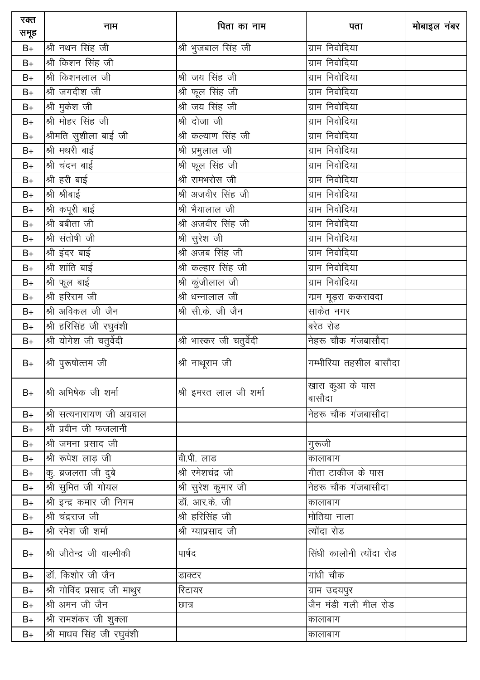| रक्त<br>समूह  | नाम                         | पिता का नाम               | पता                            | मोबाइल नंबर |
|---------------|-----------------------------|---------------------------|--------------------------------|-------------|
| $B+$          | श्री नथन सिंह जी            | श्री भुजबाल सिंह जी       | ग्राम निवोदिया                 |             |
| $B+$          | श्री किशन सिंह जी           |                           | ग्राम निवोदिया                 |             |
| $B+$          | श्री किशनलाल जी             | श्री जय सिंह जी           | ग्राम निवोदिया                 |             |
| $B+$          | श्री जगदीश जी               | श्री फूल सिंह जी          | ग्राम निवोदिया                 |             |
| $B+$          | श्री मुकेश जी               | श्री जय सिंह जी           | ग्राम निवोदिया                 |             |
| $B+$          | श्री मोहर सिंह जी           | श्री दोजा जी              | ग्राम निवोदिया                 |             |
| $B+$          | श्रीमति सुशीला बाई जी       | श्री कल्याण सिंह जी       | ग्राम निवोदिया                 |             |
| $B+$          | श्री मथरी बाई               | श्री प्रभुलाल जी          | ग्राम निवोदिया                 |             |
| $B+$          | श्री चंदन बाई               | श्री फूल सिंह जी          | ग्राम निवोदिया                 |             |
| $B+$          | श्री हरी बाई                | श्री रामभरोस जी           | ग्राम निवोदिया                 |             |
| $B+$          | श्री श्रीबाई                | श्री अजवीर सिंह जी        | ग्राम निवोदिया                 |             |
| $B+$          | श्री कपूरी बाई              | श्री भैयालाल जी           | ग्राम निवोदिया                 |             |
| $B+$          | श्री बबीता जी               | श्री अजवीर सिंह जी        | ग्राम निवोदिया                 |             |
| $B+$          | श्री संतोषी जी              | श्री सुरेश जी             | ग्राम निवोदिया                 |             |
| $B+$          | श्री इंदर बाई               | श्री अजब सिंह जी          | ग्राम निवोदिया                 |             |
| $B+$          | श्री शांति बाई              | श्री कल्हार सिंह जी       | ग्राम निवोदिया                 |             |
| $B+$          | श्री फूल बाई                | श्री कुंजीलाल जी          | ग्राम निवोदिया                 |             |
| $\mathsf{B}+$ | श्री हरिराम जी              | श्री धन्नालाल जी          | ग्प्रम मूड़रा ककरावदा          |             |
| $B+$          | श्री अविकल जी जैन           | श्री सी.के. जी जैन        | साकेत नगर                      |             |
| $B+$          | श्री हरिसिंह जी रघुवंशी     |                           | बरेठ रोड                       |             |
| $B+$          | श्री योगेश जी चतुर्वेदी     | श्री भास्कर जी चतुर्वेदी  | नेहरू चौक गंजबासौदा            |             |
| $B+$          | श्री पुरूषोत्तम जी          | श्री नाथूराम जी           | गम्भीरिया तहसील बासौदा         |             |
| $B+$          | श्री अभिषेक जी शर्मा        | श्री इमरत लाल जी शर्मा    | .<br>खारा कुआ के पास<br>बासौदा |             |
| $B+$          | श्री सत्यनारायण जी अग्रवाल  |                           | नेहरू चौक गंजबासौदा            |             |
| $B+$          | श्री प्रवीन जी फजलानी       |                           |                                |             |
| $B+$          | श्री जमना प्रसाद जी         |                           | गुरूजी                         |             |
| $B+$          | श्री रूपेश लाड़ जी          | वी.पी. लाड                | कालाबाग                        |             |
| $B+$          | कु. ब्रजलता जी दुबे         | <u>श्री रमेश</u> चंद्र जी | गीता टाकीज के पास              |             |
| $B+$          | श्री सुमित जी गोयल          | श्री सुरेश कुमार जी       | नेहरू चौक गंजबासौदा            |             |
| $B+$          | श्री इन्द्र कमार जी निगम    | डॉ. आर.के. जी             | कालाबाग                        |             |
| $B+$          | श्री चंद्रराज जी            | श्री हरिसिंह जी           | मोतिया नाला                    |             |
| $B+$          | श्री रमेश जी शर्मा          | श्री ग्याप्रसाद जी        | त्योंदा रोड                    |             |
| $B+$          | श्री जीतेन्द्र जी वाल्मीकी  | पार्षद                    | सिंधी कालोनी त्योंदा रोड       |             |
| $B+$          | डॉ. किशोर जी जैन            | डाक्टर                    | गांधी चौक                      |             |
| $B+$          | श्री गोविंद प्रसाद जी माथुर | रिटायर                    | ग्राम उदयपुर                   |             |
| $B+$          | श्री अमन जी जैन             | छात्र                     | जैन मंडी गली मील रोड           |             |
| $B+$          | श्री रामशंकर जी शुक्ला      |                           | कालाबाग                        |             |
| $B+$          | श्री माधव सिंह जी रघुवंशी   |                           | कालाबाग                        |             |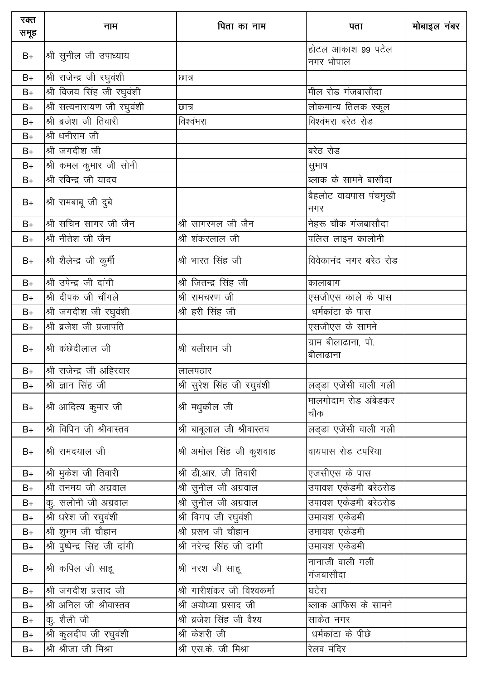| रक्त<br>समूह | नाम                            | पिता का नाम                 | पता                             | मोबाइल नंबर |
|--------------|--------------------------------|-----------------------------|---------------------------------|-------------|
| $B+$         | श्री सुनील जी उपाध्याय         |                             | होटल आकाश 99 पटेल<br>नगर भोपाल  |             |
| $B+$         | श्री राजेन्द्र जी रघुवंशी      | छात्र                       |                                 |             |
| $B+$         | श्री विजय सिंह जी रघुवंशी      |                             | मील रोड गंजबासौदा               |             |
| $B+$         | श्री सत्यनारायण जी रघुवंशी     | छात्र                       | लोकमान्य तिलक स्कूल             |             |
| $B+$         | श्री ब्रजेश जी तिवारी          | विश्वंभरा                   | विश्वंभरा बरेठ रोड              |             |
| $B+$         | श्री धनीराम जी                 |                             |                                 |             |
| $B+$         | श्री जगदीश जी                  |                             | बरेठ रोड                        |             |
| $B+$         | श्री कमल कुमार जी सोनी         |                             | सुभाष                           |             |
| $B+$         | श्री रविन्द्र जी यादव          |                             | ब्लाक के सामने बासौदा           |             |
| $B+$         | श्री रामबाबू जी दुबे           |                             | बैहलोट वायपास पंचमुखी<br>नगर    |             |
| $B+$         | श्री सचिन सागर जी जैन          | श्री सागरमल जी जैन          | नेहरू चौक गंजबासौदा             |             |
| $B+$         | श्री नीतेश जी जैन              | श्री शंकरलाल जी             | पलिस लाइन कालोनी                |             |
| $B+$         | श्री शैलेन्द्र जी कुर्मी       | श्री भारत सिंह जी           | विवेकानंद नगर बरेठ रोड          |             |
| $B+$         | श्री उपेन्द्र जी दांगी         | श्री जितन्द्र सिंह जी       | कालाबाग                         |             |
| $B+$         | श्री दीपक जी चौंगले            | श्री रामचरण जी              | एसजीएस काले के पास              |             |
| $B+$         | श्री जगदीश जी रघुवंशी          | श्री हरी सिंह जी            | धर्मकांटा के पास                |             |
| $B+$         | श्री ब्रजेश जी प्रजापति        |                             | एसजीएस के सामने                 |             |
| $B+$         | श्री कंछेदीलाल जी              | श्री बलीराम जी              | ग्राम बीलाढाना, पो.<br>बीलाढाना |             |
| $B+$         | श्री राजेन्द्र जी अहिरवार      | लालपठार                     |                                 |             |
| $B+$         | श्री ज्ञान सिंह जी             | श्री सुरेश सिंह जी रघुवंशी  | लड्डा एजेंसी वाली गली           |             |
| $B+$         | श्री आदित्य कुमार जी           | श्री मधुकौल जी              | मालगोदाम रोड अंबेडकर<br>चौक     |             |
| $B+$         | श्री विपिन जी श्रीवास्तव       | श्री बाबूलाल जी श्रीवास्तव  | लड्डा एजेंसी वाली गली           |             |
| $B+$         | श्री रामदयाल जी                | श्री अमोल सिंह जी कुशवाह    | वायपास रोड टपरिया               |             |
| $B+$         | श्री मुकेश जी तिवारी           | श्री डी.आर. जी तिवारी       | एजसीएस के पास                   |             |
| $B+$         | श्री तनमय जी अग्रवाल           | श्री सुनील जी अग्रवाल       | उपावश एकेडमी बरेठरोड            |             |
| B+           | कु. सलोनी जी अग्रवाल           | श्री सुनील जी अग्रवाल       | उपावश एकेडमी बरेठरोड            |             |
| $B+$         | श्री धरेश जी रघुवंशी           | श्री विगप जी रघुवंशी        | उमायश एकेडमी                    |             |
| $B+$         | श्री शुभम जी चौहान             | श्री प्रसभ जी चौहान         | उमायश एकेडमी                    |             |
| $B+$         | श्री पुष्पेन्द्र सिंह जी दांगी | श्री नरेन्द्र सिंह जी दांगी | उमायश एकेडमी                    |             |
| $B+$         | श्री कपिल जी साहू              | श्री नरश जी साहू            | नानाजी वाली गली<br>गंजबासौदा    |             |
| $B+$         | श्री जगदीश प्रसाद जी           | श्री गारीशंकर जी विश्वकर्मा | घटेरा                           |             |
| $B+$         | श्री अनिल जी श्रीवास्तव        | श्री अयोध्या प्रसाद जी      | ब्लाक आफिस के सामने             |             |
| $B+$         | कु. शैली जी                    | श्री ब्रजेश सिंह जी वैश्य   | साकेत नगर                       |             |
| $B+$         | श्री कुलदीप जी रघुवंशी         | श्री केशरी जी               | धर्मकांटा के पीछे               |             |
| $B+$         | श्री श्रीजा जी मिश्रा          | श्री एस.के. जी मिश्रा       | रेलव मंदिर                      |             |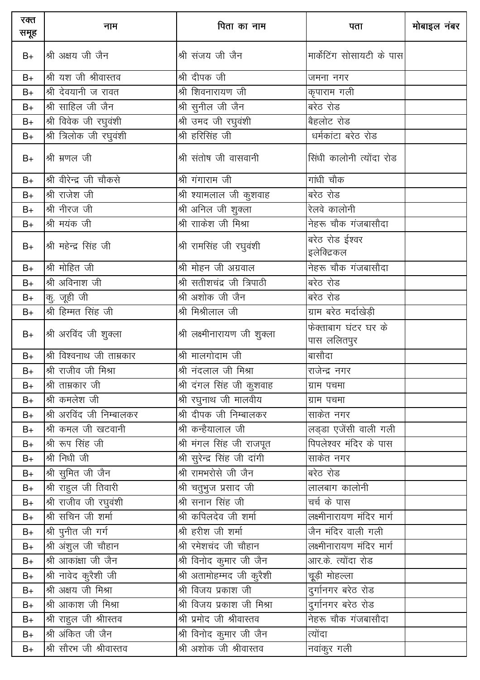| रक्त<br>समूह | नाम                       | पिता का नाम                  | पता                                 | मोबाइल नंबर |
|--------------|---------------------------|------------------------------|-------------------------------------|-------------|
| $B+$         | श्री अक्षय जी जैन         | श्री संजय जी जैन             | मार्केटिंग सोसायटी के पास           |             |
| $B+$         | श्री यश जी श्रीवास्तव     | श्री दीपक जी                 | जमना नगर                            |             |
| $B+$         | श्री देवयानी ज रावत       | श्री शिवनारायण जी            | कृपाराम गली                         |             |
| $B+$         | श्री साहिल जी जैन         | श्री सुनील जी जैन            | बरेठ रोड                            |             |
| $B+$         | श्री विवेक जी रघुवंशी     | श्री उमद जी रघुवंशी          | बैहलोट रोड                          |             |
| $B+$         | श्री त्रिलोक जी रघुवंशी   | श्री हरिसिंह जी              | धर्मकांटा बरेठ रोड                  |             |
| $B+$         | श्री म्रणल जी             | श्री संतोष जी वासवानी        | सिंधी कालोनी त्योंदा रोड            |             |
| $B+$         | श्री वीरेन्द्र जी चौकसे   | श्री गंगाराम जी              | गांधी चौक                           |             |
| $B+$         | श्री राजेश जी             | श्री श्यामलाल जी कुशवाह      | बरेठ रोड                            |             |
| $B+$         | श्री नीरज जी              | श्री अनिल जी शुक्ला          | रेलवे कालोनी                        |             |
| $B+$         | श्री मयंक जी              | श्री रााकेश जी मिश्रा        | नेहरू चौक गंजबासौदा                 |             |
| $B+$         | श्री महेन्द्र सिंह जी     | श्री रामसिंह जी रघुवंशी      | बरेठ रोड ईश्वर<br>इलेक्टिकल         |             |
| $B+$         | श्री मोहित जी             | श्री मोहन जी अग्रवाल         | नेहरू चौक गंजबासौदा                 |             |
| $B+$         | श्री अविनाश जी            | श्री सतीशचंद्र जी त्रिपाठी   | बरेठ रोड                            |             |
| $B+$         | कु. जूही जी               | श्री अशोक जी जैन             | बरेठ रोड                            |             |
| $B+$         | श्री हिम्मत सिंह जी       | श्री मिश्रीलाल जी            | ग्राम बरेठ मर्दाखेड़ी               |             |
| $B+$         | श्री अरविंद जी शुक्ला     | श्री लक्ष्मीनारायण जी शुक्ला | फेक्ताबाग घंटर घर के<br>पास ललितपुर |             |
| $B+$         | श्री विश्वनाथ जी ताम्रकार | श्री मालगोदाम जी             | बासौदा                              |             |
| $B+$         | श्री राजीव जी मिश्रा      | श्री नंदलाल जी मिश्रा        | राजेन्द्र नगर                       |             |
| $B+$         | श्री ताम्रकार जी          | श्री दंगल सिंह जी कुशवाह     | ग्राम पचमा                          |             |
| $B+$         | श्री कमलेश जी             | श्री रघुनाथ जी मालवीय        | ग्राम पचमा                          |             |
| $B+$         | श्री अरविंद जी निम्बालकर  | श्री दीपक जी निम्बालकर       | _<br>साकेत नगर                      |             |
| $B+$         | श्री कमल जी खटवानी        | श्री कन्हैयालाल जी           | लड्डा एजेंसी वाली गली               |             |
| $B+$         | श्री रूप सिंह जी          | श्री मंगल सिंह जी राजपूत     | पिपलेश्वर मंदिर के पास              |             |
| $B+$         | श्री निधी जी              | श्री सुरेन्द्र सिंह जी दांगी | साकेत नगर                           |             |
| $B+$         | श्री सुमित जी जैन         | श्री रामभरोसे जी जैन         | बरेठ रोड                            |             |
| $B+$         | श्री राहुल जी तिवारी      | श्री चतुभुज प्रसाद जी        | लालबाग कालोनी                       |             |
| $B+$         | श्री राजीव जी रघुवंशी     | श्री सनान सिंह जी            | चर्च के पास                         |             |
| $B+$         | श्री सचिन जी शर्मा        | श्री कपिलदेव जी शर्मा        | लक्ष्मीनारायण मंदिर मार्ग           |             |
| $B+$         | श्री पुनीत जी गर्ग        | श्री हरीश जी शर्मा           | जैन मंदिर वाली गली                  |             |
| $B+$         | श्री अंशुल जी चौहान       | श्री रमेशचंद जी चौहान        | लक्ष्मीनारायण मंदिर मार्ग           |             |
| $B+$         | श्री आकांक्षा जी जैन      | श्री विनोद कुमार जी जैन      | आर.के. त्योंदा रोड                  |             |
| $B+$         | श्री नावेद कुरैशी जी      | श्री अतामोहम्मद जी कुरैशी    | चूड़ी मोहल्ला                       |             |
| $B+$         | श्री अक्षय जी मिश्रा      | श्री विजय प्रकाश जी          | दुर्गानगर बरेठ रोड                  |             |
| $B+$         | श्री आकाश जी मिश्रा       | श्री विजय प्रकाश जी मिश्रा   | दुर्गानगर बरेठ रोड                  |             |
| $B+$         | श्री राहुल जी श्रीास्तव   | श्री प्रमोद जी श्रीवास्तव    | नेहरू चौक गंजबासौदा                 |             |
| $B+$         | श्री अंकित जी जैन         | श्री विनोद कुमार जी जैन      | त्योंदा                             |             |
| $B+$         | श्री सौरभ जी श्रीवास्तव   | श्री अशोक जी श्रीवास्तव      | नवांकुर गली                         |             |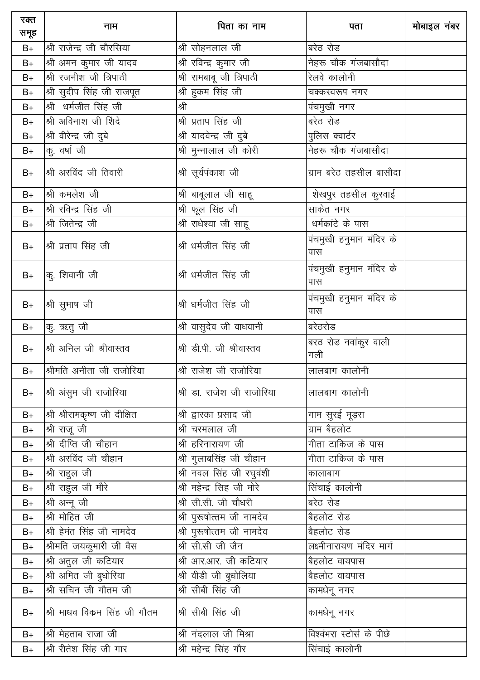| रक्त<br>समूह | नाम                          | पिता का नाम                | पता                            | मोबाइल नंबर |
|--------------|------------------------------|----------------------------|--------------------------------|-------------|
| $B+$         | श्री राजेन्द्र जी चौरसिया    | श्री सोहनलाल जी            | बरेठ रोड                       |             |
| $B+$         | श्री अमन कुमार जी यादव       | श्री रविन्द्र कुमार जी     | नेहरू चौक गंजबासौदा            |             |
| $B+$         | श्री रजनीश जी त्रिपाठी       | श्री रामबाबू जी त्रिपाठी   | रेलवे कालोनी                   |             |
| $B+$         | श्री सुदीप सिंह जी राजपूत    | श्री हुकम सिंह जी          | चक्कस्वरूप नगर                 |             |
| $B+$         | श्री धर्मजीत सिंह जी         | श्री                       | पंचमुखी नगर                    |             |
| $B+$         | श्री अविनाश जी शिंदे         | श्री प्रताप सिंह जी        | बरेठ रोड                       |             |
| $B+$         | श्री वीरेन्द्र जी दुबे       | श्री यादवेन्द्र जी दुबे    | पुलिस क्वार्टर                 |             |
| $B+$         | कु. वर्षा जी                 | श्री मुन्नालाल जी कोरी     | नेहरू चौक गंजबासौदा            |             |
| $B+$         | श्री अरविंद जी तिवारी        | श्री सूर्यपंकाश जी         | ग्राम बरेठ तहसील बासौदा        |             |
| $B+$         | श्री कमलेश जी                | श्री बाबूलाल जी साहू       | शेखपुर तहसील कुरवाई            |             |
| $B+$         | श्री रविन्द्र सिंह जी        | श्री फूल सिंह जी           | साकेत नगर                      |             |
| $B+$         | श्री जितेन्द्र जी            | श्री राधेश्या जी साहू      | धर्मकांटे के पास               |             |
| $B+$         | श्री प्रताप सिंह जी          | श्री धर्मजीत सिंह जी       | पंचमुखी हनुमान मंदिर के<br>पास |             |
| $B+$         | कु. शिवानी जी                | श्री धर्मजीत सिंह जी       | पंचमुखी हनुमान मंदिर के<br>पास |             |
| $B+$         | श्री सुभाष जी                | श्री धर्मजीत सिंह जी       | पंचमुखी हनुमान मंदिर के<br>पास |             |
| $B+$         | 'कु. ऋतु जी                  | श्री वासुदेव जी वाधवानी    | बरेठरोड                        |             |
| $B+$         | श्री अनिल जी श्रीवास्तव      | श्री डी.पी. जी श्रीवास्तव  | बरठ रोड नवांकुर वाली<br>गली    |             |
| $B+$         | श्रीमति अनीता जी राजोरिया    | श्री राजेश जी राजोरिया     | लालबाग कालोनी                  |             |
| $B+$         | श्री अंसुम जी राजोरिया       | श्री डा. राजेश जी राजोरिया | लालबाग कालोनी                  |             |
| $B+$         | श्री श्रीरामकृष्ण जी दीक्षित | श्री द्वारका प्रसाद जी     | गाम सुरई मूड़रा                |             |
| $B+$         | श्री राजू जी                 | श्री चरमलाल जी             | ग्राम बैहलोट                   |             |
| $B+$         | श्री दीप्ति जी चौहान         | श्री हरिनारायण जी          | गीता टाकिज के पास              |             |
| $B+$         | श्री अरविंद जी चौहान         | श्री गुलाबसिंह जी चौहान    | गीता टाकिज के पास              |             |
| $B+$         | श्री राहुल जी                | श्री नवल सिंह जी रघुवंशी   | कालाबाग                        |             |
| $B+$         | श्री राहुल जी मौरे           | श्री महेन्द्र सिंह जी मोरे | सिंचाई कालोनी                  |             |
| $B+$         | श्री अन्नू जी                | श्री सी.सी. जी चौधरी       | बरेठ रोड                       |             |
| $B+$         | श्री मोहित जी                | श्री पुरूषोत्तम जी नामदेव  | बैहलोट रोड                     |             |
| $B+$         | श्री हेमंत सिंह जी नामदेव    | श्री पुरूषोत्तम जी नामदेव  | बैहलोट रोड                     |             |
| $B+$         | श्रीमति जयकुमारी जी वैस      | श्री सी.सी जी जैन          | लक्ष्मीनारायण मंदिर मार्ग      |             |
| $B+$         | श्री अतुल जी कटियार          | श्री आर.आर. जी कटियार      | बैहलोट वायपास                  |             |
| $B+$         | श्री अमित जी बुधोरिया        | श्री वीडी जी बुधोलिया      | बैहलोट वायपास                  |             |
| $B+$         | श्री सचिन जी गौतम जी         | श्री सीबी सिंह जी          | कामधेनू नगर                    |             |
| $B+$         | श्री माधव विकम सिंह जी गौतम  | श्री सीबी सिंह जी          | कामधेनू नगर                    |             |
| $B+$         | श्री मेहताब राजा जी          | श्री नंदलाल जी मिश्रा      | विश्वंभरा स्टोर्स के पीछे      |             |
| $B+$         | श्री रीतेश सिंह जी गार       | श्री महेन्द्र सिंह गौर     | सिंचाई कालोनी                  |             |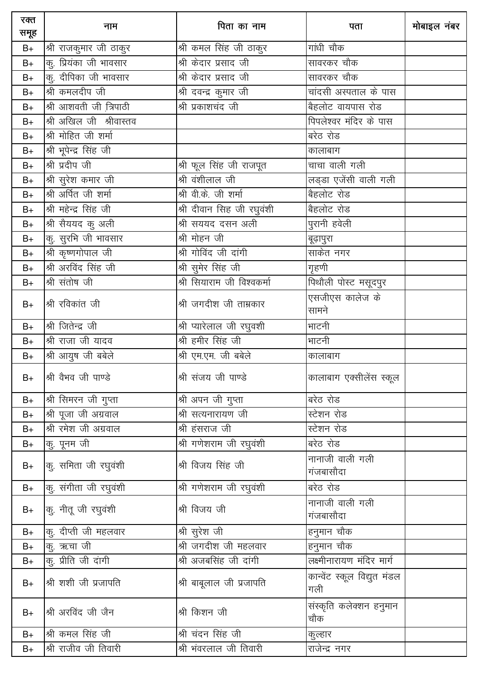| रक्त<br>समूह | नाम                     | पिता का नाम                  | पता                                | मोबाइल नंबर |
|--------------|-------------------------|------------------------------|------------------------------------|-------------|
| $B+$         | श्री राजकुमार जी ठाकुर  | श्री कमल सिंह जी ठाकुर       | गांधी चौक                          |             |
| $B+$         | कु. प्रियंका जी भावसार  | श्री केदार प्रसाद जी         | सावरकर चौक                         |             |
| $B+$         | कु. दीपिका जी भावसार    | श्री केदार प्रसाद जी         | सावरकर चौक                         |             |
| $B+$         | श्री कमलदीप जी          | <u>श्री दवन्द्र</u> कुमार जी | चांदसी अस्पताल के पास              |             |
| $B+$         | श्री आशवती जी त्रिपाठी  | श्री प्रकाशचंद जी            | बैहलोट वायपास रोड                  |             |
| $B+$         | श्री अखिल जी श्रीवास्तव |                              | पिपलेश्वर मंदिर के पास             |             |
| $B+$         | श्री मोहित जी शर्मा     |                              | बरेठ रोड                           |             |
| $B+$         | श्री भूपेन्द्र सिंह जी  |                              | कालाबाग                            |             |
| $B+$         | श्री प्रदीप जी          | श्री फूल सिंह जी राजपूत      | चाचा वाली गली                      |             |
| $B+$         | श्री सुरेश कमार जी      | श्री वंशीलाल जी              | लड्डा एजेंसी वाली गली              |             |
| $B+$         | श्री अर्पित जी शर्मा    | श्री वी.के. जी शर्मा         | बैहलोट रोड                         |             |
| $B+$         | श्री महेन्द्र सिंह जी   | श्री दीवान सिंह जी रघुवंशी   | बैहलोट रोड                         |             |
| $B+$         | श्री सैययद कु अली       | श्री सययद दसन अली            | पुरानी हवेली                       |             |
| $B+$         | कु. सुरभि जी भावसार     | श्री मोहन जी                 | बूढ़ापुरा                          |             |
| $B+$         | श्री कृष्णगोपाल जी      | श्री गोविंद जी दांगी         | साकेत नगर                          |             |
| $B+$         | श्री अरविंद सिंह जी     | श्री सुमेर सिंह जी           | गृहणी                              |             |
| $B+$         | श्री संतोष जी           | श्री सियाराम जी विश्वकर्मा   | पिथौली पोस्ट मसूदपुर               |             |
| $B+$         | श्री रविकांत जी         | श्री जगदीश जी ताम्रकार       | एसजीएस कालेज के<br>सामने           |             |
| $B+$         | श्री जितेन्द्र जी       | श्री प्यारेलाल जी रघुवशी     | भाटनी                              |             |
| $B+$         | श्री राजा जी यादव       | श्री हमीर सिंह जी            | भाटनी                              |             |
| $B+$         | श्री आयुष जी बबेले      | श्री एम.एम. जी बबेले         | कालाबाग                            |             |
| $B+$         | श्री वैभव जी पाण्डे     | श्री संजय जी पाण्डे          | कालाबाग एक्सीलेंस स्कूल            |             |
| $B+$         | श्री सिमरन जी गुप्ता    | श्री अपन जी गुप्ता           | बरेठ रोड                           |             |
| $B+$         | श्री पूजा जी अग्रवाल    | श्री सत्यनारायण जी           | स्टेशन रोड                         |             |
| $B+$         | श्री रमेश जी अग्रवाल    | श्री हंसराज जी               | स्टेशन रोड                         |             |
| B+           | कु. पूनम जी             | श्री गणेशराम जी रघुवंशी      | बरेठ रोड                           |             |
| $B+$         | कु. समिता जी रघुवंशी    | श्री विजय सिंह जी            | नानाजी वाली गली<br>गंजबासौदा       |             |
| $B+$         | कु. संगीता जी रघुवंशी   | श्री गणेशराम जी रघुवंशी      | बरेठ रोड                           |             |
| $B+$         | कु. नीतू जी रघुवंशी     | श्री विजय जी                 | नानाजी वाली गली<br>गंजबासौदा       |             |
| $B+$         | कू. दीप्ती जी महलवार    | श्री सुरेश जी                | हनुमान चौक                         |             |
| $B+$         | कु. ऋचा जी              | श्री जगदीश जी महलवार         | हनुमान चौक                         |             |
| $B+$         | कु. प्रीति जी दांगी     | श्री अजबसिंह जी दांगी        | लक्ष्मीनारायण मंदिर मार्ग          |             |
| $B+$         | श्री शशी जी प्रजापति    | श्री बाबूलाल जी प्रजापति     | कान्वेंट स्कूल विद्युत मंडल<br>गली |             |
| $B+$         | श्री अरविंद जी जैन      | श्री किशन जी                 | संस्कृति कलेक्शन हनुमान<br>चौक     |             |
| $B+$         | श्री कमल सिंह जी        | श्री चंदन सिंह जी            | कुल्हार                            |             |
| $B+$         | श्री राजीव जी तिवारी    | श्री भंवरलाल जी तिवारी       | राजेन्द्र नगर                      |             |